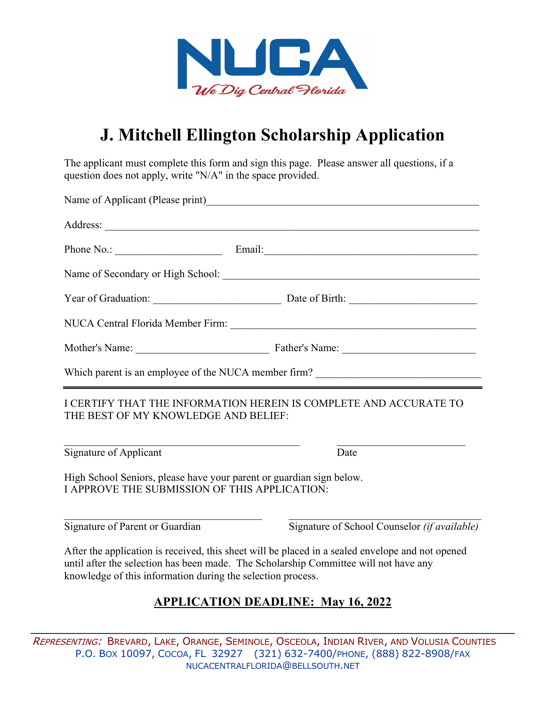

# **J. Mitchell Ellington Scholarship Application**

The applicant must complete this form and sign this page. Please answer all questions, if a question does not apply, write "N/A" in the space provided.

|                                                                                                                       | Mother's Name: Father's Name: Father's Name:                                                                                                                                             |
|-----------------------------------------------------------------------------------------------------------------------|------------------------------------------------------------------------------------------------------------------------------------------------------------------------------------------|
| Which parent is an employee of the NUCA member firm? ____________________________                                     |                                                                                                                                                                                          |
| I CERTIFY THAT THE INFORMATION HEREIN IS COMPLETE AND ACCURATE TO<br>THE BEST OF MY KNOWLEDGE AND BELIEF:             |                                                                                                                                                                                          |
| Signature of Applicant                                                                                                | Date                                                                                                                                                                                     |
| High School Seniors, please have your parent or guardian sign below.<br>I APPROVE THE SUBMISSION OF THIS APPLICATION: |                                                                                                                                                                                          |
| Signature of Parent or Guardian                                                                                       | Signature of School Counselor (if available)                                                                                                                                             |
| knowledge of this information during the selection process.                                                           | After the application is received, this sheet will be placed in a sealed envelope and not opened<br>until after the selection has been made. The Scholarship Committee will not have any |

### **APPLICATION DEADLINE: May 16, 2022**

REPRESENTING: BREVARD, LAKE, ORANGE, SEMINOLE, OSCEOLA, INDIAN RIVER, AND VOLUSIA COUNTIES P.O. BOX 10097, COCOA, FL 32927 (321) 632-7400/PHONE, (888) 822-8908/FAX [NUCACENTRALFLORIDA@BELLSOUTH.NET](mailto:nucacentralflorida@bellsouth.net)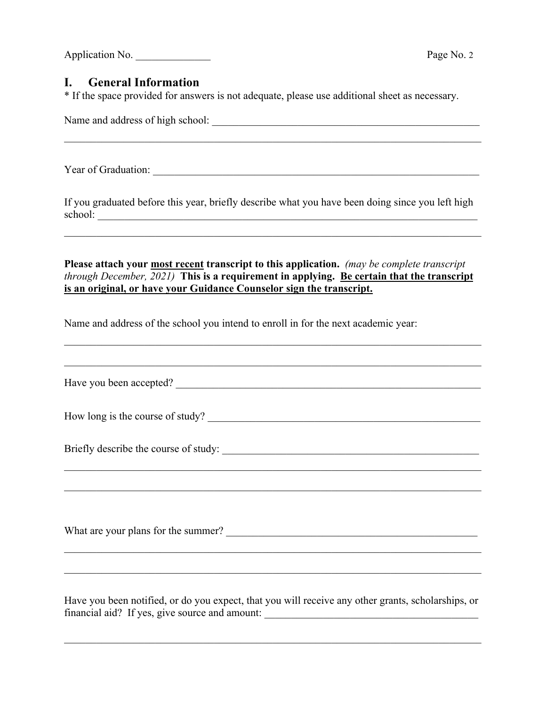Application No. 2

### **I. General Information**

\* If the space provided for answers is not adequate, please use additional sheet as necessary.

Name and address of high school:  $\blacksquare$ 

Year of Graduation: \_\_\_\_\_\_\_\_\_\_\_\_\_\_\_\_\_\_\_\_\_\_\_\_\_\_\_\_\_\_\_\_\_\_\_\_\_\_\_\_\_\_\_\_\_\_\_\_\_\_\_\_\_\_\_\_\_\_\_\_\_

If you graduated before this year, briefly describe what you have been doing since you left high school:

 $\mathcal{L}_\mathcal{L} = \mathcal{L}_\mathcal{L} = \mathcal{L}_\mathcal{L} = \mathcal{L}_\mathcal{L} = \mathcal{L}_\mathcal{L} = \mathcal{L}_\mathcal{L} = \mathcal{L}_\mathcal{L} = \mathcal{L}_\mathcal{L} = \mathcal{L}_\mathcal{L} = \mathcal{L}_\mathcal{L} = \mathcal{L}_\mathcal{L} = \mathcal{L}_\mathcal{L} = \mathcal{L}_\mathcal{L} = \mathcal{L}_\mathcal{L} = \mathcal{L}_\mathcal{L} = \mathcal{L}_\mathcal{L} = \mathcal{L}_\mathcal{L}$ 

**Please attach your most recent transcript to this application.** *(may be complete transcript through December, 2021)* **This is a requirement in applying. Be certain that the transcript is an original, or have your Guidance Counselor sign the transcript.**

Name and address of the school you intend to enroll in for the next academic year:

| Have you been accepted?             |
|-------------------------------------|
| How long is the course of study?    |
|                                     |
|                                     |
|                                     |
| What are your plans for the summer? |
|                                     |
|                                     |

Have you been notified, or do you expect, that you will receive any other grants, scholarships, or financial aid? If yes, give source and amount:

 $\mathcal{L}_\mathcal{L} = \mathcal{L}_\mathcal{L} = \mathcal{L}_\mathcal{L} = \mathcal{L}_\mathcal{L} = \mathcal{L}_\mathcal{L} = \mathcal{L}_\mathcal{L} = \mathcal{L}_\mathcal{L} = \mathcal{L}_\mathcal{L} = \mathcal{L}_\mathcal{L} = \mathcal{L}_\mathcal{L} = \mathcal{L}_\mathcal{L} = \mathcal{L}_\mathcal{L} = \mathcal{L}_\mathcal{L} = \mathcal{L}_\mathcal{L} = \mathcal{L}_\mathcal{L} = \mathcal{L}_\mathcal{L} = \mathcal{L}_\mathcal{L}$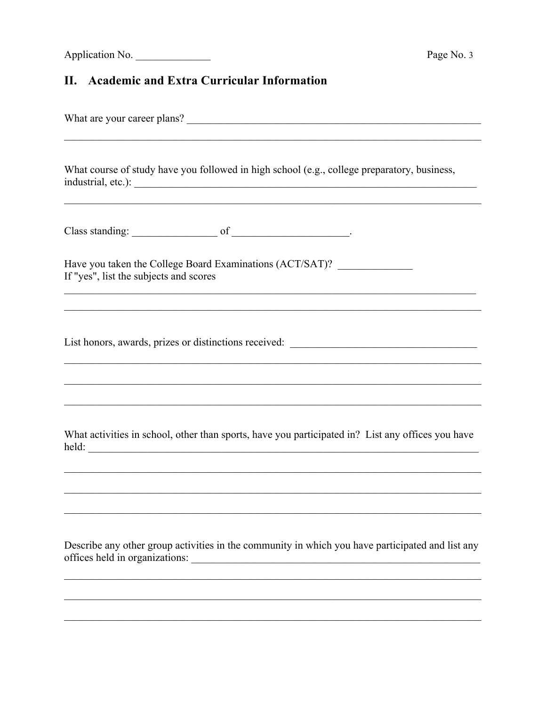## II. Academic and Extra Curricular Information

| What course of study have you followed in high school (e.g., college preparatory, business,                                                                                         |
|-------------------------------------------------------------------------------------------------------------------------------------------------------------------------------------|
|                                                                                                                                                                                     |
|                                                                                                                                                                                     |
| Have you taken the College Board Examinations (ACT/SAT)? _________________<br>If "yes", list the subjects and scores<br><u> 1989 - Johann Stoff, amerikansk politiker (d. 1989)</u> |
| List honors, awards, prizes or distinctions received: ___________________________                                                                                                   |
|                                                                                                                                                                                     |
| What activities in school, other than sports, have you participated in? List any offices you have                                                                                   |
|                                                                                                                                                                                     |
| Describe any other group activities in the community in which you have participated and list any                                                                                    |
|                                                                                                                                                                                     |